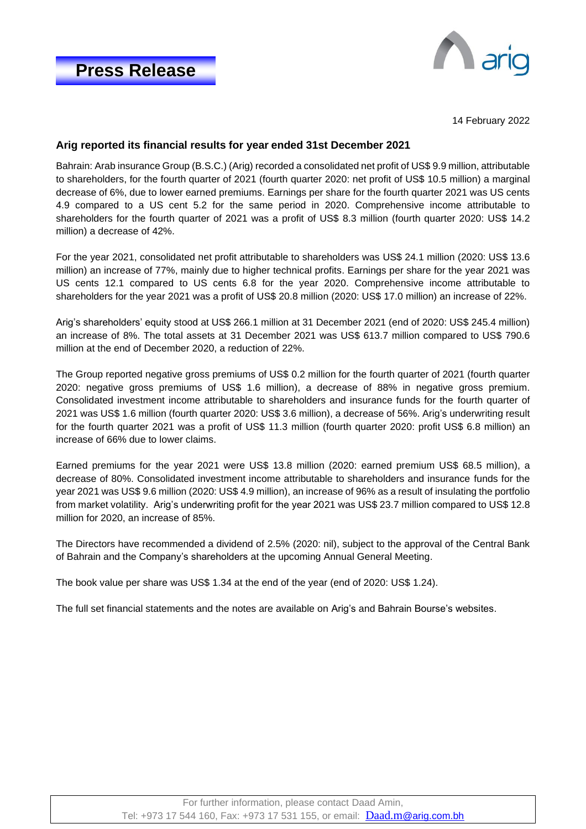

14 February 2022

## **Arig reported its financial results for year ended 31st December 2021**

Bahrain: Arab insurance Group (B.S.C.) (Arig) recorded a consolidated net profit of US\$ 9.9 million, attributable to shareholders, for the fourth quarter of 2021 (fourth quarter 2020: net profit of US\$ 10.5 million) a marginal decrease of 6%, due to lower earned premiums. Earnings per share for the fourth quarter 2021 was US cents 4.9 compared to a US cent 5.2 for the same period in 2020. Comprehensive income attributable to shareholders for the fourth quarter of 2021 was a profit of US\$ 8.3 million (fourth quarter 2020: US\$ 14.2 million) a decrease of 42%.

For the year 2021, consolidated net profit attributable to shareholders was US\$ 24.1 million (2020: US\$ 13.6 million) an increase of 77%, mainly due to higher technical profits. Earnings per share for the year 2021 was US cents 12.1 compared to US cents 6.8 for the year 2020. Comprehensive income attributable to shareholders for the year 2021 was a profit of US\$ 20.8 million (2020: US\$ 17.0 million) an increase of 22%.

Arig's shareholders' equity stood at US\$ 266.1 million at 31 December 2021 (end of 2020: US\$ 245.4 million) an increase of 8%. The total assets at 31 December 2021 was US\$ 613.7 million compared to US\$ 790.6 million at the end of December 2020, a reduction of 22%.

The Group reported negative gross premiums of US\$ 0.2 million for the fourth quarter of 2021 (fourth quarter 2020: negative gross premiums of US\$ 1.6 million), a decrease of 88% in negative gross premium. Consolidated investment income attributable to shareholders and insurance funds for the fourth quarter of 2021 was US\$ 1.6 million (fourth quarter 2020: US\$ 3.6 million), a decrease of 56%. Arig's underwriting result for the fourth quarter 2021 was a profit of US\$ 11.3 million (fourth quarter 2020: profit US\$ 6.8 million) an increase of 66% due to lower claims.

Earned premiums for the year 2021 were US\$ 13.8 million (2020: earned premium US\$ 68.5 million), a decrease of 80%. Consolidated investment income attributable to shareholders and insurance funds for the year 2021 was US\$ 9.6 million (2020: US\$ 4.9 million), an increase of 96% as a result of insulating the portfolio from market volatility. Arig's underwriting profit for the year 2021 was US\$ 23.7 million compared to US\$ 12.8 million for 2020, an increase of 85%.

The Directors have recommended a dividend of 2.5% (2020: nil), subject to the approval of the Central Bank of Bahrain and the Company's shareholders at the upcoming Annual General Meeting.

The book value per share was US\$ 1.34 at the end of the year (end of 2020: US\$ 1.24).

The full set financial statements and the notes are available on Arig's and Bahrain Bourse's websites.